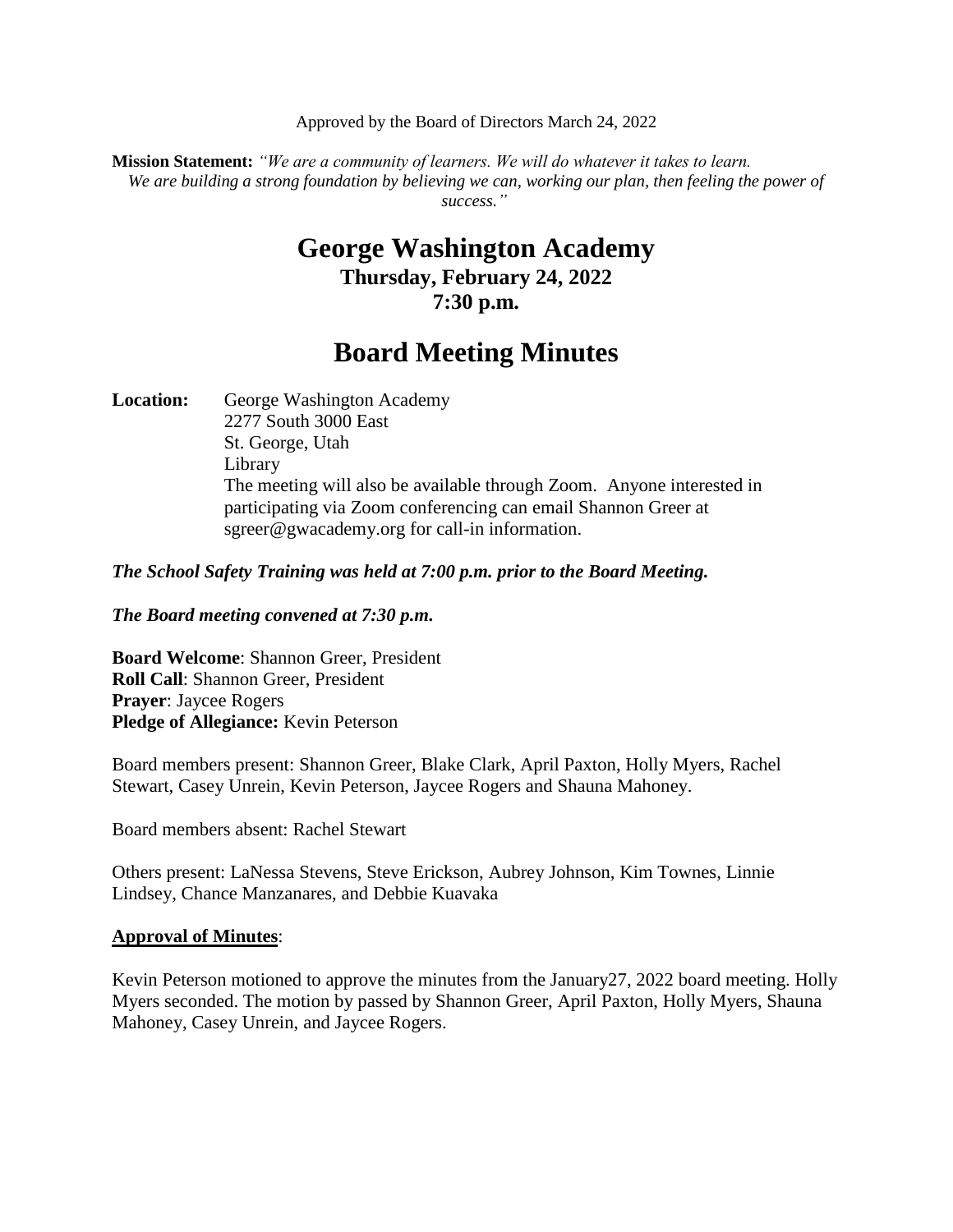Approved by the Board of Directors March 24, 2022

**Mission Statement:** *"We are a community of learners. We will do whatever it takes to learn. We are building a strong foundation by believing we can, working our plan, then feeling the power of success."*

## **George Washington Academy Thursday, February 24, 2022 7:30 p.m.**

# **Board Meeting Minutes**

Location: George Washington Academy 2277 South 3000 East St. George, Utah Library The meeting will also be available through Zoom. Anyone interested in participating via Zoom conferencing can email Shannon Greer at sgreer@gwacademy.org for call-in information.

*The School Safety Training was held at 7:00 p.m. prior to the Board Meeting.*

*The Board meeting convened at 7:30 p.m.*

**Board Welcome**: Shannon Greer, President **Roll Call**: Shannon Greer, President **Prayer**: Jaycee Rogers **Pledge of Allegiance:** Kevin Peterson

Board members present: Shannon Greer, Blake Clark, April Paxton, Holly Myers, Rachel Stewart, Casey Unrein, Kevin Peterson, Jaycee Rogers and Shauna Mahoney.

Board members absent: Rachel Stewart

Others present: LaNessa Stevens, Steve Erickson, Aubrey Johnson, Kim Townes, Linnie Lindsey, Chance Manzanares, and Debbie Kuavaka

#### **Approval of Minutes**:

Kevin Peterson motioned to approve the minutes from the January 27, 2022 board meeting. Holly Myers seconded. The motion by passed by Shannon Greer, April Paxton, Holly Myers, Shauna Mahoney, Casey Unrein, and Jaycee Rogers.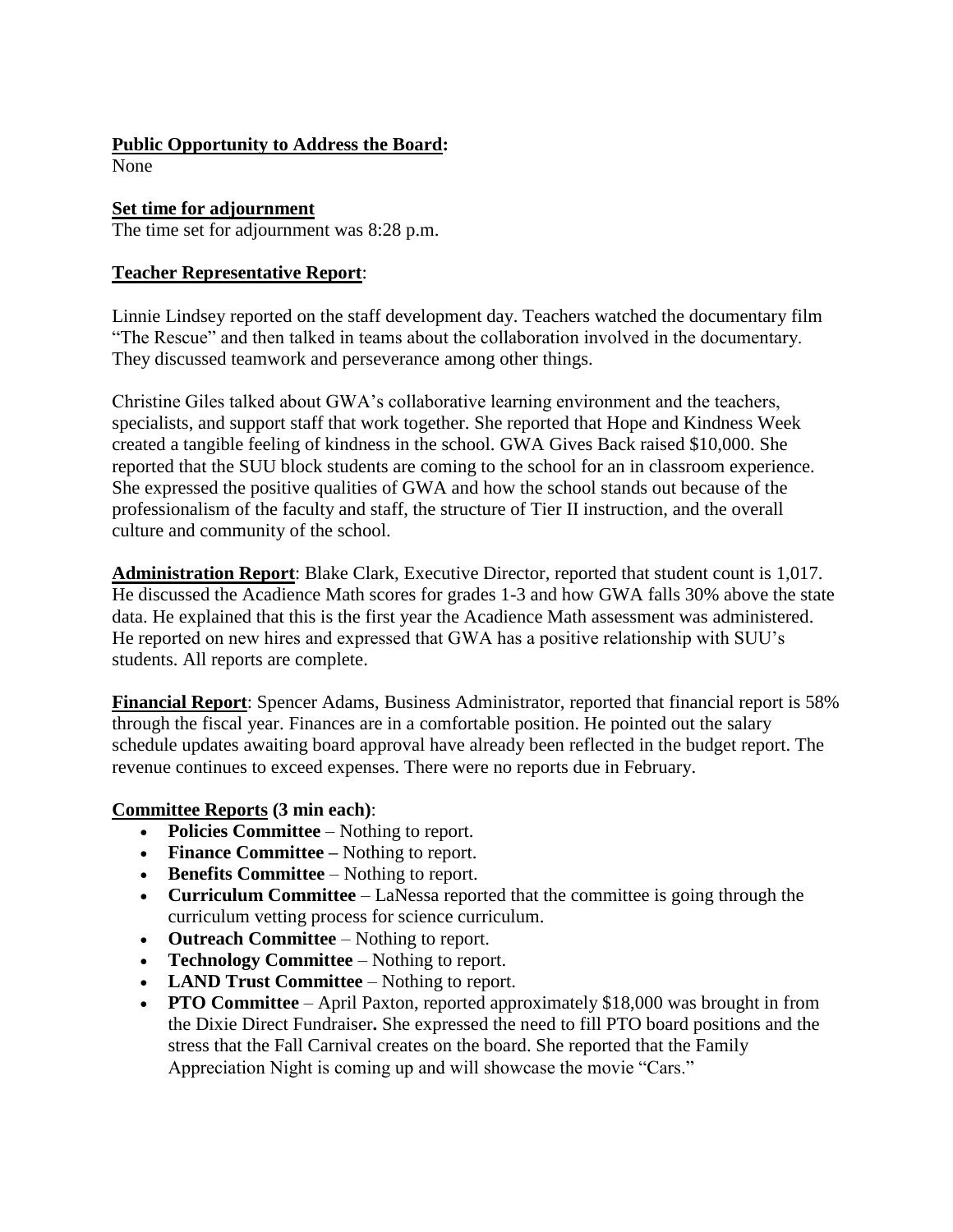#### **Public Opportunity to Address the Board:**

None

#### **Set time for adjournment**

The time set for adjournment was 8:28 p.m.

#### **Teacher Representative Report**:

Linnie Lindsey reported on the staff development day. Teachers watched the documentary film "The Rescue" and then talked in teams about the collaboration involved in the documentary. They discussed teamwork and perseverance among other things.

Christine Giles talked about GWA's collaborative learning environment and the teachers, specialists, and support staff that work together. She reported that Hope and Kindness Week created a tangible feeling of kindness in the school. GWA Gives Back raised \$10,000. She reported that the SUU block students are coming to the school for an in classroom experience. She expressed the positive qualities of GWA and how the school stands out because of the professionalism of the faculty and staff, the structure of Tier II instruction, and the overall culture and community of the school.

**Administration Report**: Blake Clark, Executive Director, reported that student count is 1,017. He discussed the Acadience Math scores for grades 1-3 and how GWA falls 30% above the state data. He explained that this is the first year the Acadience Math assessment was administered. He reported on new hires and expressed that GWA has a positive relationship with SUU's students. All reports are complete.

**Financial Report**: Spencer Adams, Business Administrator, reported that financial report is 58% through the fiscal year. Finances are in a comfortable position. He pointed out the salary schedule updates awaiting board approval have already been reflected in the budget report. The revenue continues to exceed expenses. There were no reports due in February.

#### **Committee Reports (3 min each)**:

- **Policies Committee**  Nothing to report.
- Finance Committee Nothing to report.
- **Benefits Committee** Nothing to report.
- **Curriculum Committee**  LaNessa reported that the committee is going through the curriculum vetting process for science curriculum.
- **Outreach Committee** Nothing to report.
- **Technology Committee** Nothing to report.
- **LAND Trust Committee** Nothing to report.
- **PTO Committee** April Paxton, reported approximately \$18,000 was brought in from the Dixie Direct Fundraiser**.** She expressed the need to fill PTO board positions and the stress that the Fall Carnival creates on the board. She reported that the Family Appreciation Night is coming up and will showcase the movie "Cars."